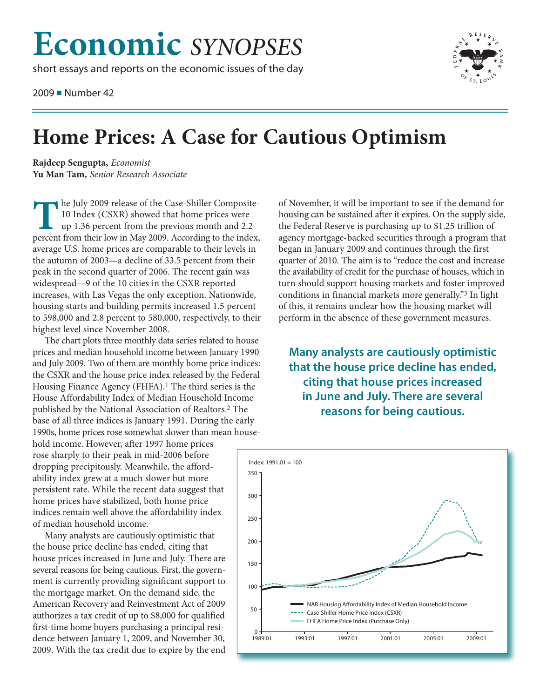## **Economic** *SYNOPSES*

short essays and reports on the economic issues of the day

2009 ■ Number 42



## **Home Prices: A Case for Cautious Optimism**

**Rajdeep Sengupta,** *Economist* **Yu Man Tam,** *Senior Research Associate*

**T**he July <sup>2009</sup> release of the Case-Shiller Composite-10 Index (CSXR) showed that home prices were up 1.36 percent from the previous month and 2.2 percent from their low in May 2009. According to the index, average U.S. home prices are comparable to their levels in the autumn of 2003—a decline of 33.5 percent from their peak in the second quarter of 2006. The recent gain was widespread—9 of the 10 cities in the CSXR reported increases, with Las Vegas the only exception. Nationwide, housing starts and building permits increased 1.5 percent to 598,000 and 2.8 percent to 580,000, respectively, to their highest level since November 2008.

The chart plots three monthly data series related to house prices and median household income between January 1990 and July 2009. Two of them are monthly home price indices: the CSXR and the house price index released by the Federal Housing Finance Agency (FHFA).1 The third series is the House Affordability Index of Median Household Income published by the National Association of Realtors. 2 The base of all three indices is January 1991. During the early 1990s, home prices rose somewhat slower than mean house-

hold income. However, after 1997 home prices rose sharply to their peak in mid-2006 before dropping precipitously. Meanwhile, the affordability index grew at a much slower but more persistent rate. While the recent data suggest that home prices have stabilized, both home price indices remain well above the affordability index of median household income.

Many analysts are cautiously optimistic that the house price decline has ended, citing that house prices increased in June and July. There are several reasons for being cautious. First, the government is currently providing significant support to the mortgage market. On the demand side, the American Recovery and Reinvestment Act of 2009 authorizes a tax credit of up to \$8,000 for qualified first-time home buyers purchasing a principal residence between January 1, 2009, and November 30, 2009. With the tax credit due to expire by the end of November, it will be important to see if the demand for housing can be sustained after it expires. On the supply side, the Federal Reserve is purchasing up to \$1.25 trillion of agency mortgage-backed securities through a program that began in January 2009 and continues through the first quarter of 2010. The aim is to "reduce the cost and increase the availability of credit for the purchase of houses, which in turn should support housing markets and foster improved conditions in financial markets more generally."3 In light of this, it remains unclear how the housing market will perform in the absence of these government measures.

**Many analysts are cautiously optimistic that the house price decline has ended, citing that house prices increased in June and July. There are several reasons for being cautious.**